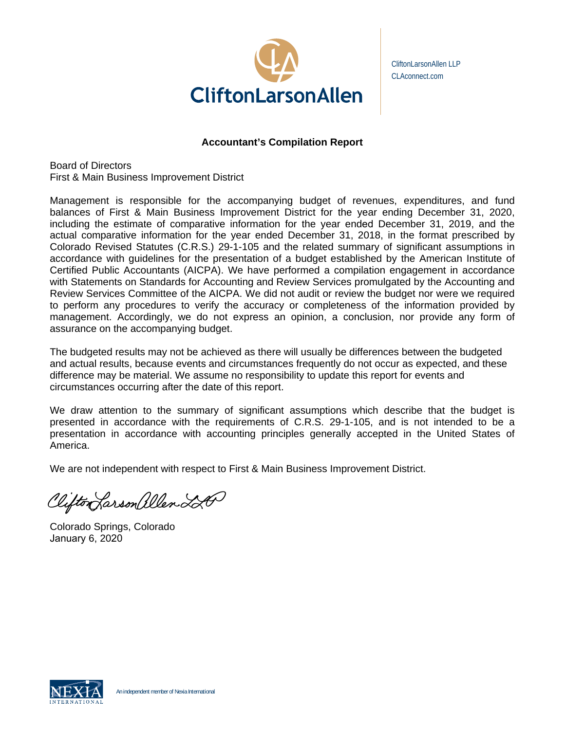

CliftonLarsonAllen LLP CLAconnect.com

## **Accountant's Compilation Report**

Board of Directors First & Main Business Improvement District

Management is responsible for the accompanying budget of revenues, expenditures, and fund balances of First & Main Business Improvement District for the year ending December 31, 2020, including the estimate of comparative information for the year ended December 31, 2019, and the actual comparative information for the year ended December 31, 2018, in the format prescribed by Colorado Revised Statutes (C.R.S.) 29-1-105 and the related summary of significant assumptions in accordance with guidelines for the presentation of a budget established by the American Institute of Certified Public Accountants (AICPA). We have performed a compilation engagement in accordance with Statements on Standards for Accounting and Review Services promulgated by the Accounting and Review Services Committee of the AICPA. We did not audit or review the budget nor were we required to perform any procedures to verify the accuracy or completeness of the information provided by management. Accordingly, we do not express an opinion, a conclusion, nor provide any form of assurance on the accompanying budget.

The budgeted results may not be achieved as there will usually be differences between the budgeted and actual results, because events and circumstances frequently do not occur as expected, and these difference may be material. We assume no responsibility to update this report for events and circumstances occurring after the date of this report.

We draw attention to the summary of significant assumptions which describe that the budget is presented in accordance with the requirements of C.R.S. 29-1-105, and is not intended to be a presentation in accordance with accounting principles generally accepted in the United States of America.

We are not independent with respect to First & Main Business Improvement District.

Clifton Larson allen 220

Colorado Springs, Colorado January 6, 2020

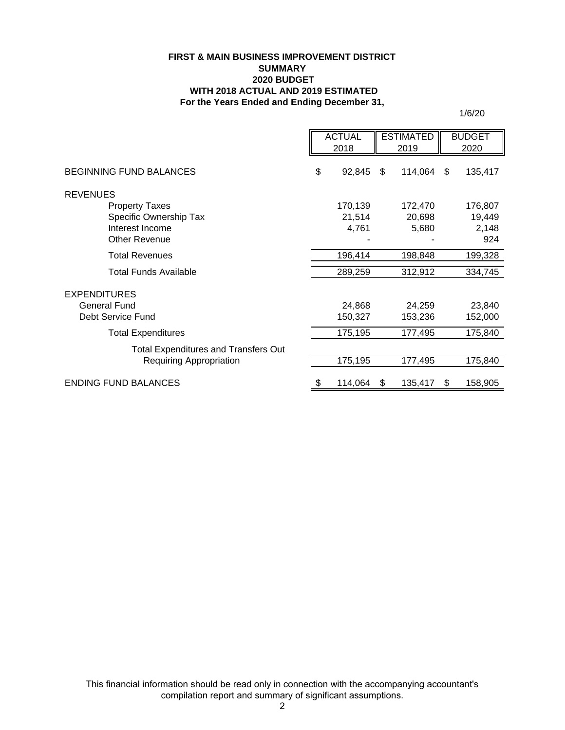#### **FIRST & MAIN BUSINESS IMPROVEMENT DISTRICT SUMMARY 2020 BUDGET WITH 2018 ACTUAL AND 2019 ESTIMATED For the Years Ended and Ending December 31,**

1/6/20

|                                             | <b>ACTUAL</b><br><b>ESTIMATED</b> |         | <b>BUDGET</b> |     |         |
|---------------------------------------------|-----------------------------------|---------|---------------|-----|---------|
|                                             |                                   | 2018    | 2019          |     | 2020    |
| <b>BEGINNING FUND BALANCES</b>              | \$                                | 92,845  | \$<br>114,064 | \$. | 135,417 |
| <b>REVENUES</b>                             |                                   |         |               |     |         |
| <b>Property Taxes</b>                       |                                   | 170,139 | 172,470       |     | 176,807 |
| Specific Ownership Tax                      |                                   | 21,514  | 20,698        |     | 19,449  |
| Interest Income                             |                                   | 4,761   | 5,680         |     | 2,148   |
| <b>Other Revenue</b>                        |                                   |         |               |     | 924     |
| <b>Total Revenues</b>                       |                                   | 196,414 | 198,848       |     | 199,328 |
| Total Funds Available                       |                                   | 289,259 | 312,912       |     | 334,745 |
| <b>EXPENDITURES</b>                         |                                   |         |               |     |         |
| <b>General Fund</b>                         |                                   | 24,868  | 24,259        |     | 23,840  |
| Debt Service Fund                           |                                   | 150,327 | 153,236       |     | 152,000 |
| <b>Total Expenditures</b>                   |                                   | 175,195 | 177,495       |     | 175,840 |
| <b>Total Expenditures and Transfers Out</b> |                                   |         |               |     |         |
| <b>Requiring Appropriation</b>              |                                   | 175,195 | 177,495       |     | 175,840 |
| <b>ENDING FUND BALANCES</b>                 | \$                                | 114,064 | \$<br>135,417 | S   | 158,905 |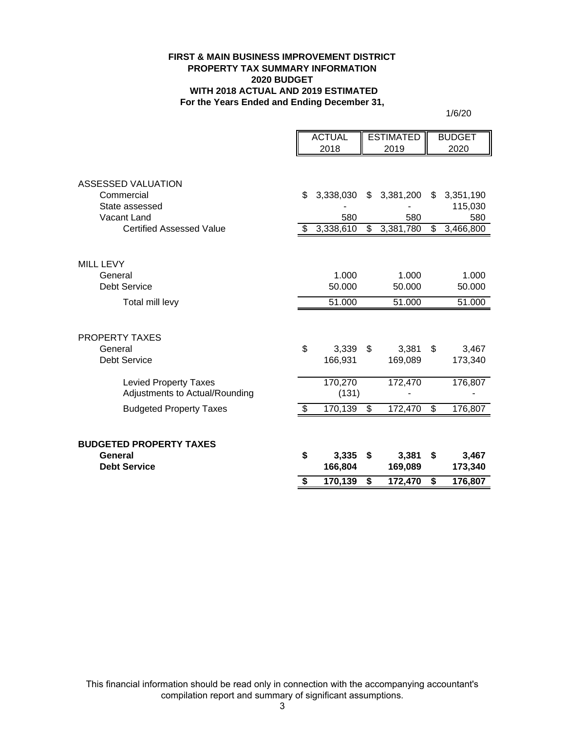#### **FIRST & MAIN BUSINESS IMPROVEMENT DISTRICT PROPERTY TAX SUMMARY INFORMATION 2020 BUDGET WITH 2018 ACTUAL AND 2019 ESTIMATED For the Years Ended and Ending December 31,**

1/6/20

|                                                                | <b>ACTUAL</b>    | <b>ESTIMATED</b> |                          | <b>BUDGET</b> |
|----------------------------------------------------------------|------------------|------------------|--------------------------|---------------|
|                                                                | 2018             | 2019             |                          | 2020          |
|                                                                |                  |                  |                          |               |
| ASSESSED VALUATION                                             |                  |                  |                          |               |
| Commercial                                                     | \$<br>3,338,030  | \$<br>3,381,200  | \$                       | 3,351,190     |
| State assessed                                                 |                  |                  |                          | 115,030       |
| Vacant Land                                                    | 580              | 580              |                          | 580           |
| <b>Certified Assessed Value</b>                                | \$<br>3,338,610  | \$<br>3,381,780  | \$                       | 3,466,800     |
|                                                                |                  |                  |                          |               |
| <b>MILL LEVY</b>                                               |                  |                  |                          |               |
| General                                                        | 1.000            | 1.000            |                          | 1.000         |
| <b>Debt Service</b>                                            | 50.000           | 50.000           |                          | 50.000        |
| Total mill levy                                                | 51.000           | 51.000           |                          | 51.000        |
|                                                                |                  |                  |                          |               |
| <b>PROPERTY TAXES</b>                                          |                  |                  |                          |               |
| General                                                        | \$<br>3,339      | \$<br>3,381      | \$                       | 3,467         |
| <b>Debt Service</b>                                            | 166,931          | 169,089          |                          | 173,340       |
|                                                                |                  |                  |                          |               |
| <b>Levied Property Taxes</b><br>Adjustments to Actual/Rounding | 170,270<br>(131) | 172,470          |                          | 176,807       |
|                                                                |                  |                  |                          |               |
| <b>Budgeted Property Taxes</b>                                 | \$<br>170,139    | \$<br>172,470    | $\overline{\mathcal{G}}$ | 176,807       |
|                                                                |                  |                  |                          |               |
| <b>BUDGETED PROPERTY TAXES</b>                                 |                  |                  |                          |               |
| General                                                        | \$<br>3,335      | \$<br>3,381      | \$                       | 3,467         |
| <b>Debt Service</b>                                            | 166,804          | 169,089          |                          | 173,340       |
|                                                                | \$<br>170,139    | \$<br>172,470    | \$                       | 176,807       |
|                                                                |                  |                  |                          |               |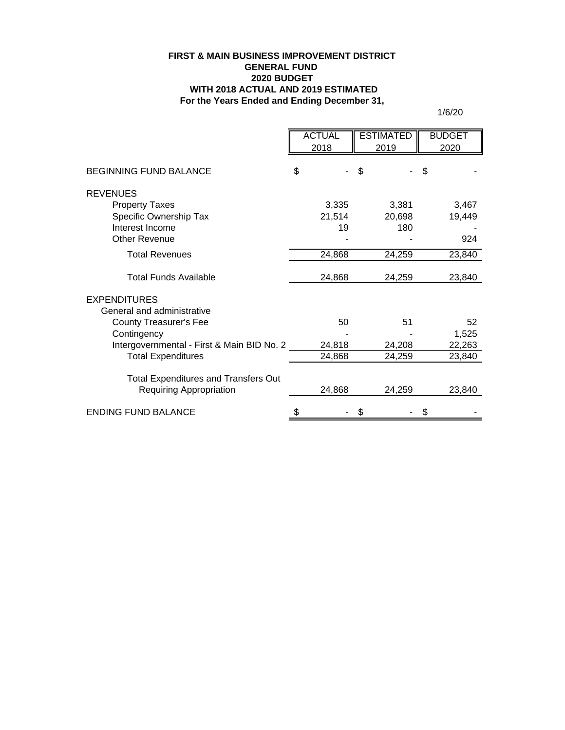### **For the Years Ended and Ending December 31, FIRST & MAIN BUSINESS IMPROVEMENT DISTRICT GENERAL FUND 2020 BUDGET WITH 2018 ACTUAL AND 2019 ESTIMATED**

1/6/20

|                                                                               | <b>ACTUAL</b> | <b>ESTIMATED</b> |    | <b>BUDGET</b> |
|-------------------------------------------------------------------------------|---------------|------------------|----|---------------|
|                                                                               | 2018          | 2019             |    | 2020          |
|                                                                               |               |                  |    |               |
| <b>BEGINNING FUND BALANCE</b>                                                 | \$            | \$               | \$ |               |
| <b>REVENUES</b>                                                               |               |                  |    |               |
| <b>Property Taxes</b>                                                         | 3,335         | 3,381            |    | 3,467         |
| Specific Ownership Tax                                                        | 21,514        | 20,698           |    | 19,449        |
| Interest Income                                                               | 19            | 180              |    |               |
| <b>Other Revenue</b>                                                          |               |                  |    | 924           |
| <b>Total Revenues</b>                                                         | 24,868        | 24,259           |    | 23,840        |
| Total Funds Available                                                         | 24,868        | 24,259           |    | 23,840        |
| <b>EXPENDITURES</b>                                                           |               |                  |    |               |
| General and administrative                                                    |               |                  |    |               |
| <b>County Treasurer's Fee</b>                                                 | 50            |                  | 51 | 52            |
| Contingency                                                                   |               |                  |    | 1,525         |
| Intergovernmental - First & Main BID No. 2                                    | 24,818        | 24,208           |    | 22,263        |
| <b>Total Expenditures</b>                                                     | 24,868        | 24,259           |    | 23,840        |
|                                                                               |               |                  |    |               |
| <b>Total Expenditures and Transfers Out</b><br><b>Requiring Appropriation</b> | 24,868        | 24,259           |    | 23,840        |
| <b>ENDING FUND BALANCE</b>                                                    | \$            | \$               | \$ |               |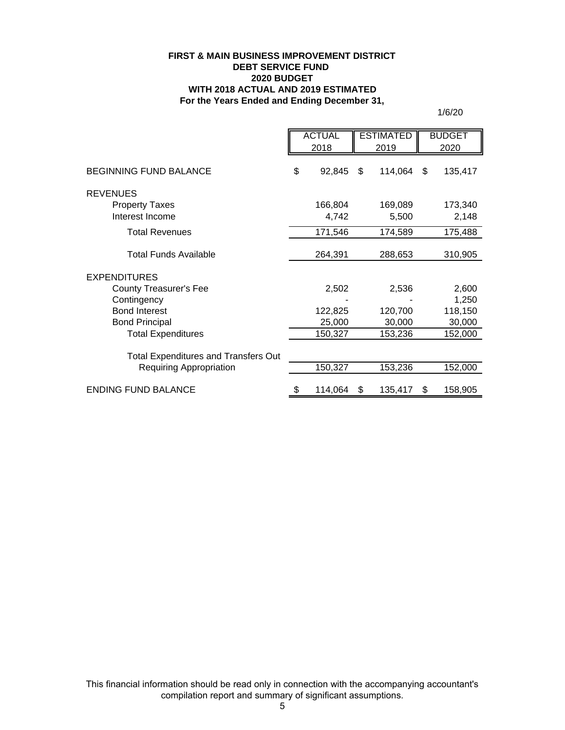#### **FIRST & MAIN BUSINESS IMPROVEMENT DISTRICT DEBT SERVICE FUND 2020 BUDGET WITH 2018 ACTUAL AND 2019 ESTIMATED For the Years Ended and Ending December 31,**

1/6/20

|                                                    | <b>ACTUAL</b><br>2018 |                   | <b>ESTIMATED</b><br>2019 |                   | <b>BUDGET</b><br>2020 |
|----------------------------------------------------|-----------------------|-------------------|--------------------------|-------------------|-----------------------|
| <b>BEGINNING FUND BALANCE</b>                      | \$                    | 92,845            | \$                       | 114,064           | \$<br>135,417         |
| <b>REVENUES</b>                                    |                       |                   |                          |                   |                       |
| <b>Property Taxes</b><br>Interest Income           |                       | 166,804<br>4,742  |                          | 169,089<br>5,500  | 173,340<br>2,148      |
| <b>Total Revenues</b>                              |                       | 171,546           |                          | 174,589           | 175,488               |
| <b>Total Funds Available</b>                       |                       | 264,391           |                          | 288,653           | 310,905               |
| <b>EXPENDITURES</b>                                |                       |                   |                          |                   |                       |
| <b>County Treasurer's Fee</b><br>Contingency       |                       | 2,502             |                          | 2,536             | 2,600<br>1,250        |
| <b>Bond Interest</b>                               |                       | 122,825           |                          | 120,700           | 118,150               |
| <b>Bond Principal</b><br><b>Total Expenditures</b> |                       | 25,000<br>150,327 |                          | 30,000<br>153,236 | 30,000<br>152,000     |
| <b>Total Expenditures and Transfers Out</b>        |                       |                   |                          |                   |                       |
| <b>Requiring Appropriation</b>                     |                       | 150,327           |                          | 153,236           | 152,000               |
| <b>ENDING FUND BALANCE</b>                         |                       | 114,064           | \$                       | 135,417           | \$<br>158,905         |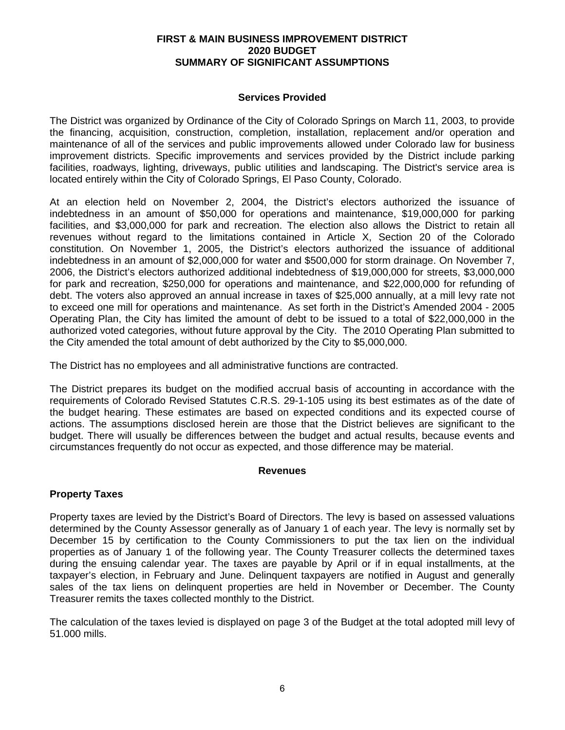#### **FIRST & MAIN BUSINESS IMPROVEMENT DISTRICT 2020 BUDGET SUMMARY OF SIGNIFICANT ASSUMPTIONS**

## **Services Provided**

The District was organized by Ordinance of the City of Colorado Springs on March 11, 2003, to provide the financing, acquisition, construction, completion, installation, replacement and/or operation and maintenance of all of the services and public improvements allowed under Colorado law for business improvement districts. Specific improvements and services provided by the District include parking facilities, roadways, lighting, driveways, public utilities and landscaping. The District's service area is located entirely within the City of Colorado Springs, El Paso County, Colorado.

At an election held on November 2, 2004, the District's electors authorized the issuance of indebtedness in an amount of \$50,000 for operations and maintenance, \$19,000,000 for parking facilities, and \$3,000,000 for park and recreation. The election also allows the District to retain all revenues without regard to the limitations contained in Article X, Section 20 of the Colorado constitution. On November 1, 2005, the District's electors authorized the issuance of additional indebtedness in an amount of \$2,000,000 for water and \$500,000 for storm drainage. On November 7, 2006, the District's electors authorized additional indebtedness of \$19,000,000 for streets, \$3,000,000 for park and recreation, \$250,000 for operations and maintenance, and \$22,000,000 for refunding of debt. The voters also approved an annual increase in taxes of \$25,000 annually, at a mill levy rate not to exceed one mill for operations and maintenance. As set forth in the District's Amended 2004 - 2005 Operating Plan, the City has limited the amount of debt to be issued to a total of \$22,000,000 in the authorized voted categories, without future approval by the City. The 2010 Operating Plan submitted to the City amended the total amount of debt authorized by the City to \$5,000,000.

The District has no employees and all administrative functions are contracted.

The District prepares its budget on the modified accrual basis of accounting in accordance with the requirements of Colorado Revised Statutes C.R.S. 29-1-105 using its best estimates as of the date of the budget hearing. These estimates are based on expected conditions and its expected course of actions. The assumptions disclosed herein are those that the District believes are significant to the budget. There will usually be differences between the budget and actual results, because events and circumstances frequently do not occur as expected, and those difference may be material.

#### **Revenues**

## **Property Taxes**

Property taxes are levied by the District's Board of Directors. The levy is based on assessed valuations determined by the County Assessor generally as of January 1 of each year. The levy is normally set by December 15 by certification to the County Commissioners to put the tax lien on the individual properties as of January 1 of the following year. The County Treasurer collects the determined taxes during the ensuing calendar year. The taxes are payable by April or if in equal installments, at the taxpayer's election, in February and June. Delinquent taxpayers are notified in August and generally sales of the tax liens on delinquent properties are held in November or December. The County Treasurer remits the taxes collected monthly to the District.

The calculation of the taxes levied is displayed on page 3 of the Budget at the total adopted mill levy of 51.000 mills.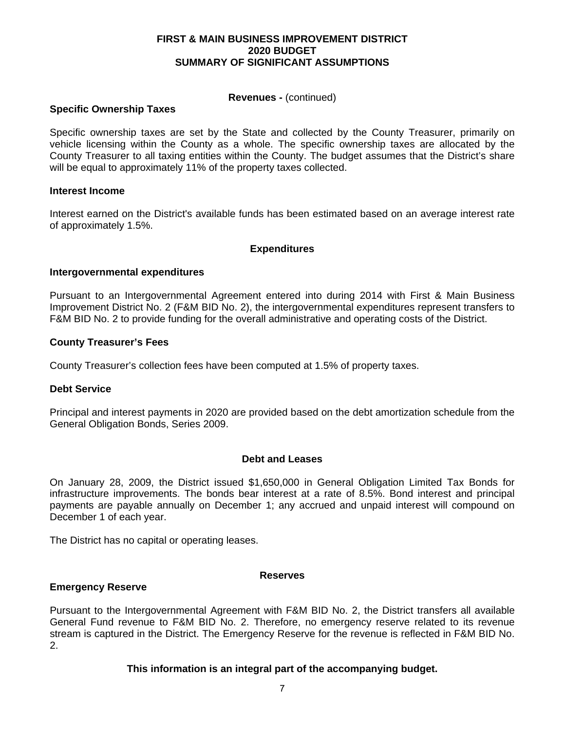#### **FIRST & MAIN BUSINESS IMPROVEMENT DISTRICT 2020 BUDGET SUMMARY OF SIGNIFICANT ASSUMPTIONS**

#### **Revenues -** (continued)

### **Specific Ownership Taxes**

Specific ownership taxes are set by the State and collected by the County Treasurer, primarily on vehicle licensing within the County as a whole. The specific ownership taxes are allocated by the County Treasurer to all taxing entities within the County. The budget assumes that the District's share will be equal to approximately 11% of the property taxes collected.

#### **Interest Income**

Interest earned on the District's available funds has been estimated based on an average interest rate of approximately 1.5%.

#### **Expenditures**

#### **Intergovernmental expenditures**

Pursuant to an Intergovernmental Agreement entered into during 2014 with First & Main Business Improvement District No. 2 (F&M BID No. 2), the intergovernmental expenditures represent transfers to F&M BID No. 2 to provide funding for the overall administrative and operating costs of the District.

#### **County Treasurer's Fees**

County Treasurer's collection fees have been computed at 1.5% of property taxes.

#### **Debt Service**

Principal and interest payments in 2020 are provided based on the debt amortization schedule from the General Obligation Bonds, Series 2009.

#### **Debt and Leases**

On January 28, 2009, the District issued \$1,650,000 in General Obligation Limited Tax Bonds for infrastructure improvements. The bonds bear interest at a rate of 8.5%. Bond interest and principal payments are payable annually on December 1; any accrued and unpaid interest will compound on December 1 of each year.

The District has no capital or operating leases.

#### **Reserves**

#### **Emergency Reserve**

Pursuant to the Intergovernmental Agreement with F&M BID No. 2, the District transfers all available General Fund revenue to F&M BID No. 2. Therefore, no emergency reserve related to its revenue stream is captured in the District. The Emergency Reserve for the revenue is reflected in F&M BID No. 2.

#### **This information is an integral part of the accompanying budget.**